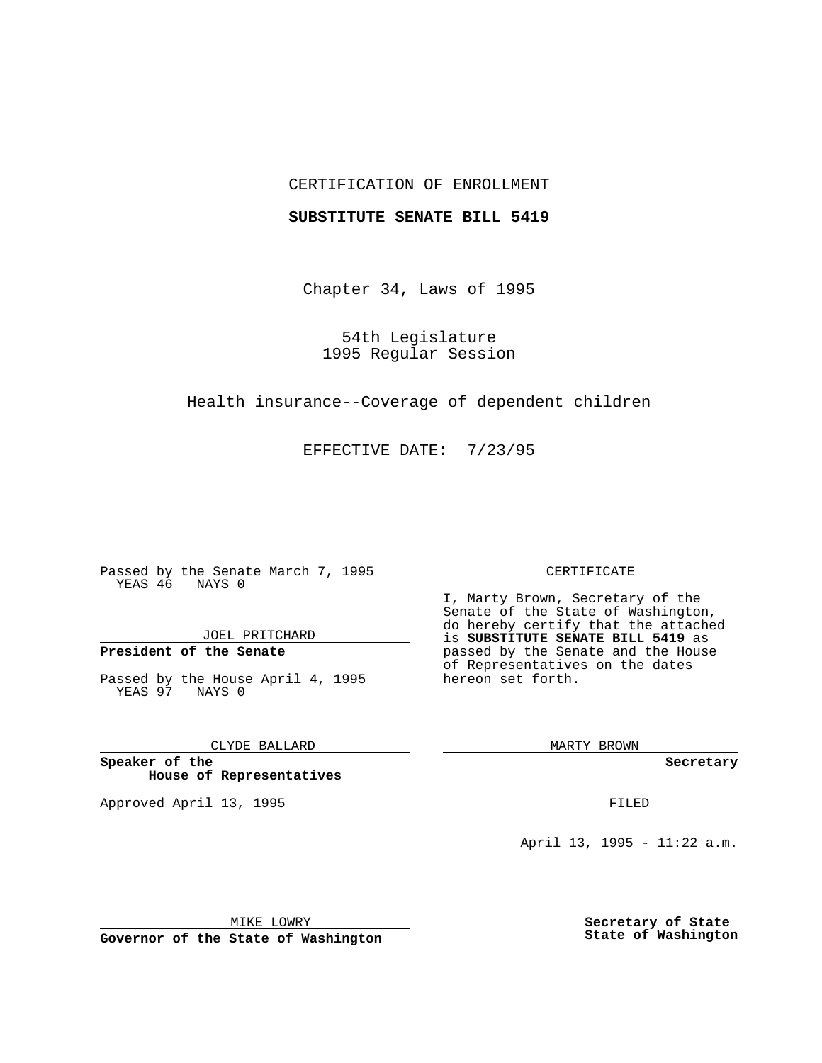## CERTIFICATION OF ENROLLMENT

### **SUBSTITUTE SENATE BILL 5419**

Chapter 34, Laws of 1995

54th Legislature 1995 Regular Session

Health insurance--Coverage of dependent children

EFFECTIVE DATE: 7/23/95

Passed by the Senate March 7, 1995 YEAS 46 NAYS 0

JOEL PRITCHARD

# **President of the Senate**

Passed by the House April 4, 1995 YEAS 97 NAYS 0

CLYDE BALLARD

**Speaker of the House of Representatives**

Approved April 13, 1995 FILED

#### CERTIFICATE

I, Marty Brown, Secretary of the Senate of the State of Washington, do hereby certify that the attached is **SUBSTITUTE SENATE BILL 5419** as passed by the Senate and the House of Representatives on the dates hereon set forth.

MARTY BROWN

**Secretary**

April 13, 1995 - 11:22 a.m.

MIKE LOWRY **Governor of the State of Washington** **Secretary of State State of Washington**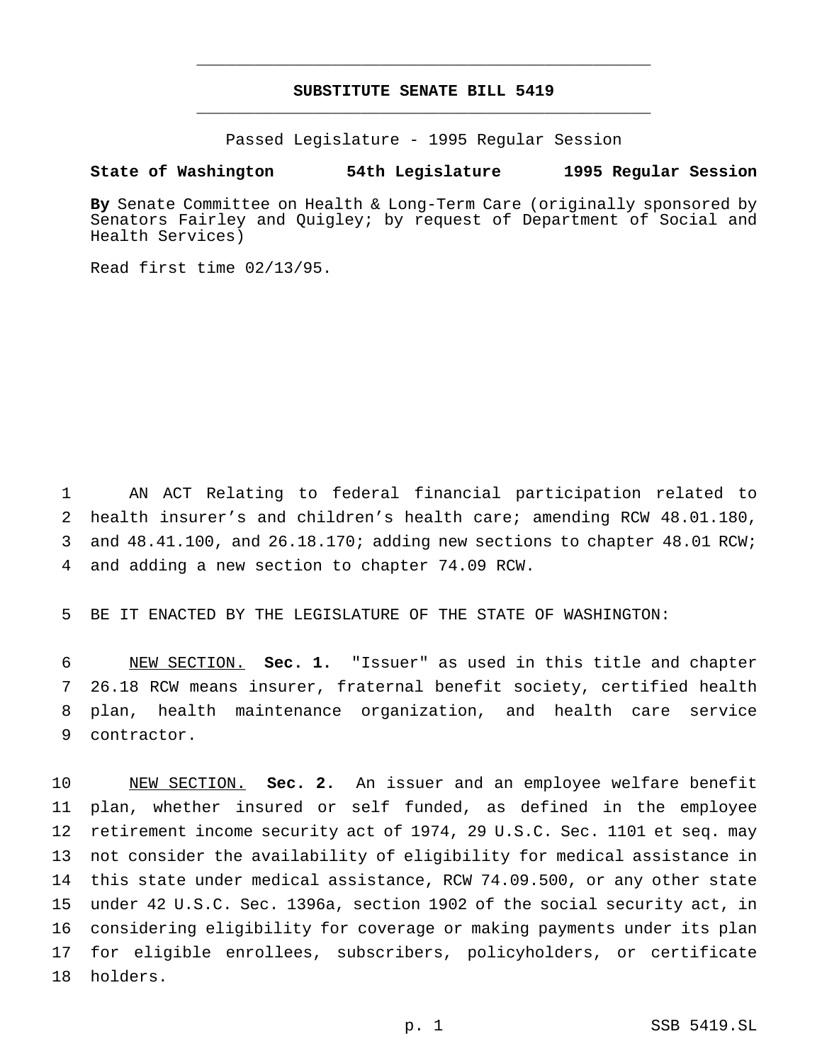## **SUBSTITUTE SENATE BILL 5419** \_\_\_\_\_\_\_\_\_\_\_\_\_\_\_\_\_\_\_\_\_\_\_\_\_\_\_\_\_\_\_\_\_\_\_\_\_\_\_\_\_\_\_\_\_\_\_

\_\_\_\_\_\_\_\_\_\_\_\_\_\_\_\_\_\_\_\_\_\_\_\_\_\_\_\_\_\_\_\_\_\_\_\_\_\_\_\_\_\_\_\_\_\_\_

Passed Legislature - 1995 Regular Session

## **State of Washington 54th Legislature 1995 Regular Session**

**By** Senate Committee on Health & Long-Term Care (originally sponsored by Senators Fairley and Quigley; by request of Department of Social and Health Services)

Read first time 02/13/95.

 AN ACT Relating to federal financial participation related to health insurer's and children's health care; amending RCW 48.01.180, 3 and 48.41.100, and 26.18.170; adding new sections to chapter 48.01 RCW; and adding a new section to chapter 74.09 RCW.

BE IT ENACTED BY THE LEGISLATURE OF THE STATE OF WASHINGTON:

 NEW SECTION. **Sec. 1.** "Issuer" as used in this title and chapter 26.18 RCW means insurer, fraternal benefit society, certified health plan, health maintenance organization, and health care service contractor.

 NEW SECTION. **Sec. 2.** An issuer and an employee welfare benefit plan, whether insured or self funded, as defined in the employee retirement income security act of 1974, 29 U.S.C. Sec. 1101 et seq. may not consider the availability of eligibility for medical assistance in this state under medical assistance, RCW 74.09.500, or any other state under 42 U.S.C. Sec. 1396a, section 1902 of the social security act, in considering eligibility for coverage or making payments under its plan for eligible enrollees, subscribers, policyholders, or certificate holders.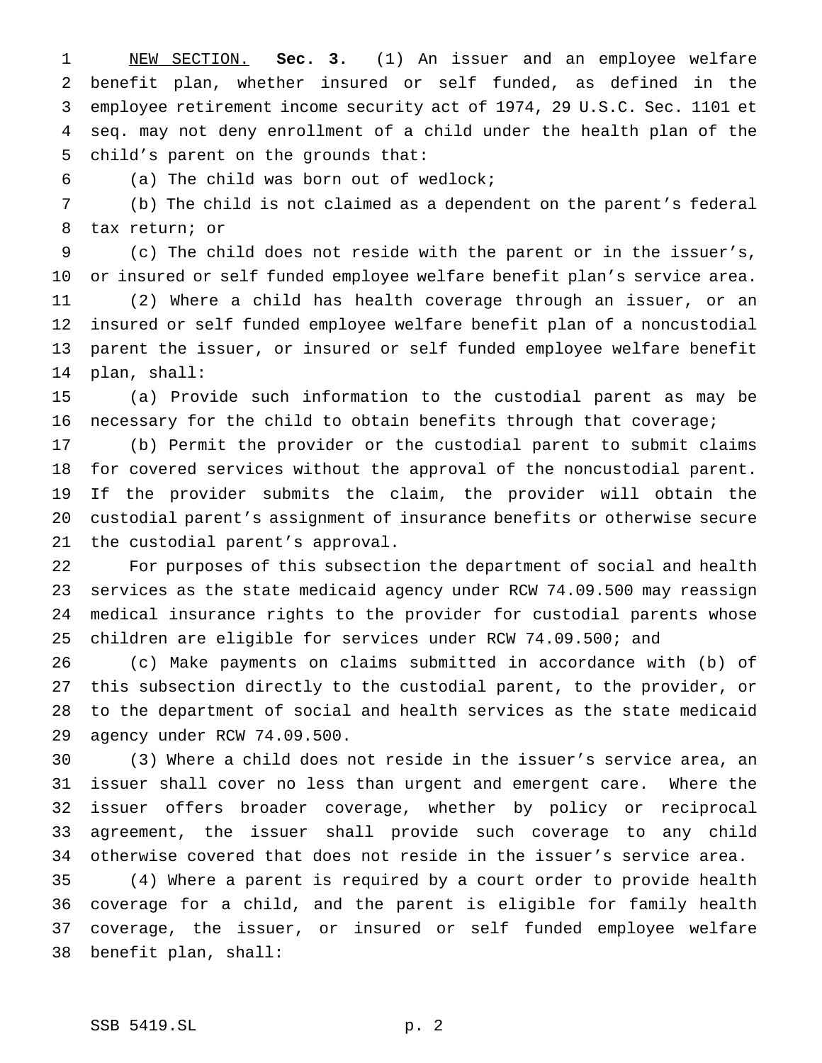NEW SECTION. **Sec. 3.** (1) An issuer and an employee welfare benefit plan, whether insured or self funded, as defined in the employee retirement income security act of 1974, 29 U.S.C. Sec. 1101 et seq. may not deny enrollment of a child under the health plan of the child's parent on the grounds that:

(a) The child was born out of wedlock;

 (b) The child is not claimed as a dependent on the parent's federal tax return; or

 (c) The child does not reside with the parent or in the issuer's, or insured or self funded employee welfare benefit plan's service area.

 (2) Where a child has health coverage through an issuer, or an insured or self funded employee welfare benefit plan of a noncustodial parent the issuer, or insured or self funded employee welfare benefit plan, shall:

 (a) Provide such information to the custodial parent as may be necessary for the child to obtain benefits through that coverage;

 (b) Permit the provider or the custodial parent to submit claims for covered services without the approval of the noncustodial parent. If the provider submits the claim, the provider will obtain the custodial parent's assignment of insurance benefits or otherwise secure the custodial parent's approval.

 For purposes of this subsection the department of social and health services as the state medicaid agency under RCW 74.09.500 may reassign medical insurance rights to the provider for custodial parents whose children are eligible for services under RCW 74.09.500; and

 (c) Make payments on claims submitted in accordance with (b) of this subsection directly to the custodial parent, to the provider, or to the department of social and health services as the state medicaid agency under RCW 74.09.500.

 (3) Where a child does not reside in the issuer's service area, an issuer shall cover no less than urgent and emergent care. Where the issuer offers broader coverage, whether by policy or reciprocal agreement, the issuer shall provide such coverage to any child otherwise covered that does not reside in the issuer's service area.

 (4) Where a parent is required by a court order to provide health coverage for a child, and the parent is eligible for family health coverage, the issuer, or insured or self funded employee welfare benefit plan, shall: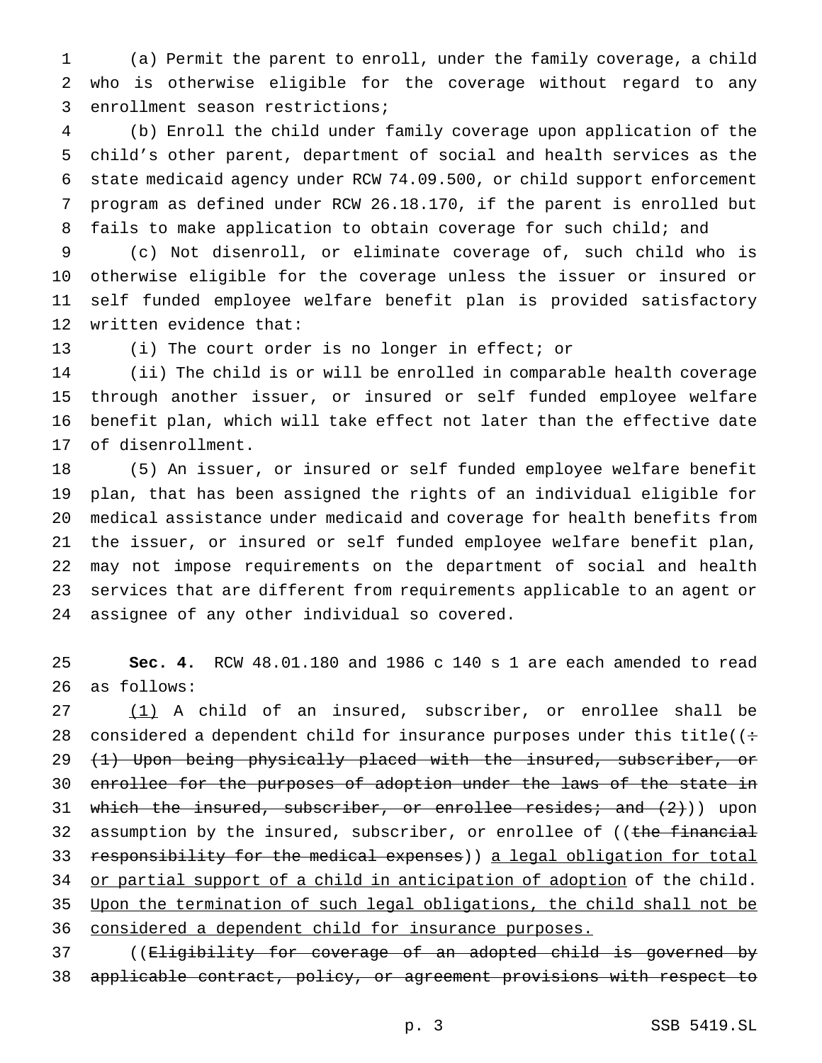(a) Permit the parent to enroll, under the family coverage, a child who is otherwise eligible for the coverage without regard to any enrollment season restrictions;

 (b) Enroll the child under family coverage upon application of the child's other parent, department of social and health services as the state medicaid agency under RCW 74.09.500, or child support enforcement program as defined under RCW 26.18.170, if the parent is enrolled but fails to make application to obtain coverage for such child; and

 (c) Not disenroll, or eliminate coverage of, such child who is otherwise eligible for the coverage unless the issuer or insured or self funded employee welfare benefit plan is provided satisfactory written evidence that:

(i) The court order is no longer in effect; or

 (ii) The child is or will be enrolled in comparable health coverage through another issuer, or insured or self funded employee welfare benefit plan, which will take effect not later than the effective date of disenrollment.

 (5) An issuer, or insured or self funded employee welfare benefit plan, that has been assigned the rights of an individual eligible for medical assistance under medicaid and coverage for health benefits from the issuer, or insured or self funded employee welfare benefit plan, may not impose requirements on the department of social and health services that are different from requirements applicable to an agent or assignee of any other individual so covered.

 **Sec. 4.** RCW 48.01.180 and 1986 c 140 s 1 are each amended to read as follows:

 (1) A child of an insured, subscriber, or enrollee shall be 28 considered a dependent child for insurance purposes under this title( $($ : 29 (1) Upon being physically placed with the insured, subscriber, or enrollee for the purposes of adoption under the laws of the state in 31 which the insured, subscriber, or enrollee resides; and  $(2)$ ) upon 32 assumption by the insured, subscriber, or enrollee of ((the financial 33 responsibility for the medical expenses) a legal obligation for total 34 or partial support of a child in anticipation of adoption of the child. Upon the termination of such legal obligations, the child shall not be 36 considered a dependent child for insurance purposes.

 ((Eligibility for coverage of an adopted child is governed by applicable contract, policy, or agreement provisions with respect to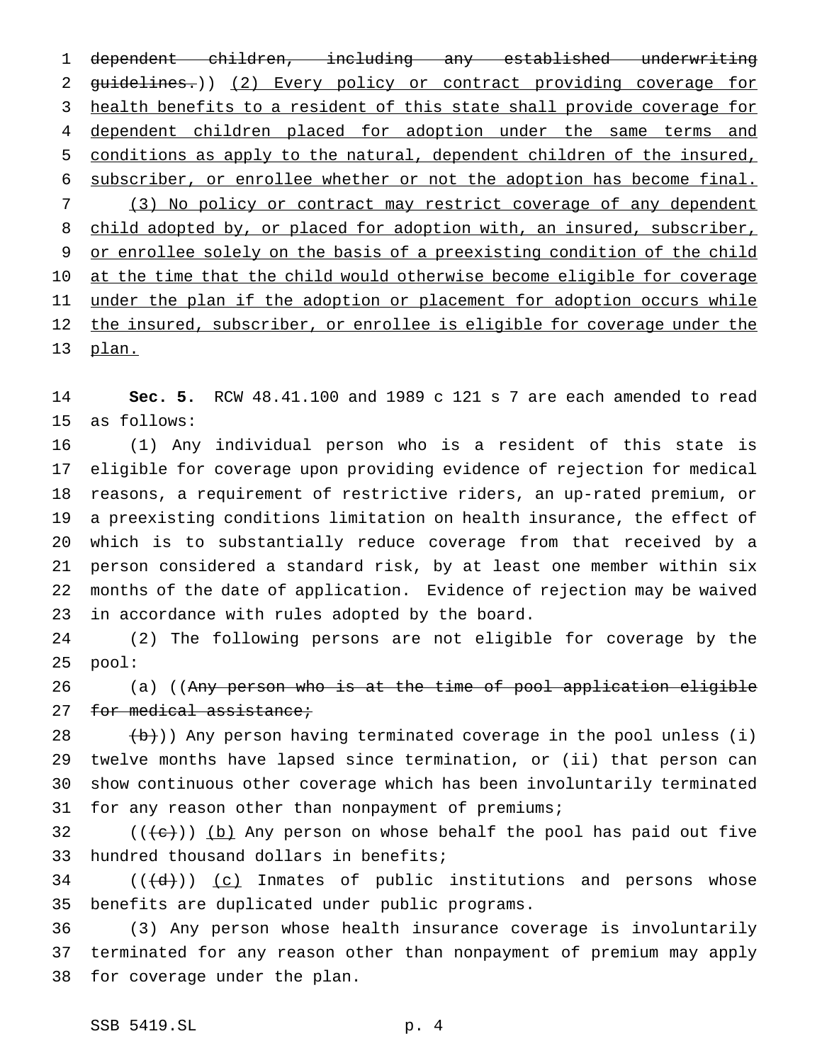dependent children, including any established underwriting guidelines.)) (2) Every policy or contract providing coverage for health benefits to a resident of this state shall provide coverage for 4 dependent children placed for adoption under the same terms and conditions as apply to the natural, dependent children of the insured, subscriber, or enrollee whether or not the adoption has become final. (3) No policy or contract may restrict coverage of any dependent 8 child adopted by, or placed for adoption with, an insured, subscriber, 9 or enrollee solely on the basis of a preexisting condition of the child 10 at the time that the child would otherwise become eligible for coverage 11 under the plan if the adoption or placement for adoption occurs while 12 the insured, subscriber, or enrollee is eligible for coverage under the plan.

 **Sec. 5.** RCW 48.41.100 and 1989 c 121 s 7 are each amended to read as follows:

 (1) Any individual person who is a resident of this state is eligible for coverage upon providing evidence of rejection for medical reasons, a requirement of restrictive riders, an up-rated premium, or a preexisting conditions limitation on health insurance, the effect of which is to substantially reduce coverage from that received by a person considered a standard risk, by at least one member within six months of the date of application. Evidence of rejection may be waived in accordance with rules adopted by the board.

 (2) The following persons are not eligible for coverage by the pool:

26 (a) ((Any person who is at the time of pool application eligible 27 for medical assistance;

 $(\frac{b}{b})$ ) Any person having terminated coverage in the pool unless (i) twelve months have lapsed since termination, or (ii) that person can show continuous other coverage which has been involuntarily terminated for any reason other than nonpayment of premiums;

32  $((\{e\})$  (b) Any person on whose behalf the pool has paid out five hundred thousand dollars in benefits;

 (( $\left(\frac{d}{d}\right)$ ) <u>(c)</u> Inmates of public institutions and persons whose benefits are duplicated under public programs.

 (3) Any person whose health insurance coverage is involuntarily terminated for any reason other than nonpayment of premium may apply for coverage under the plan.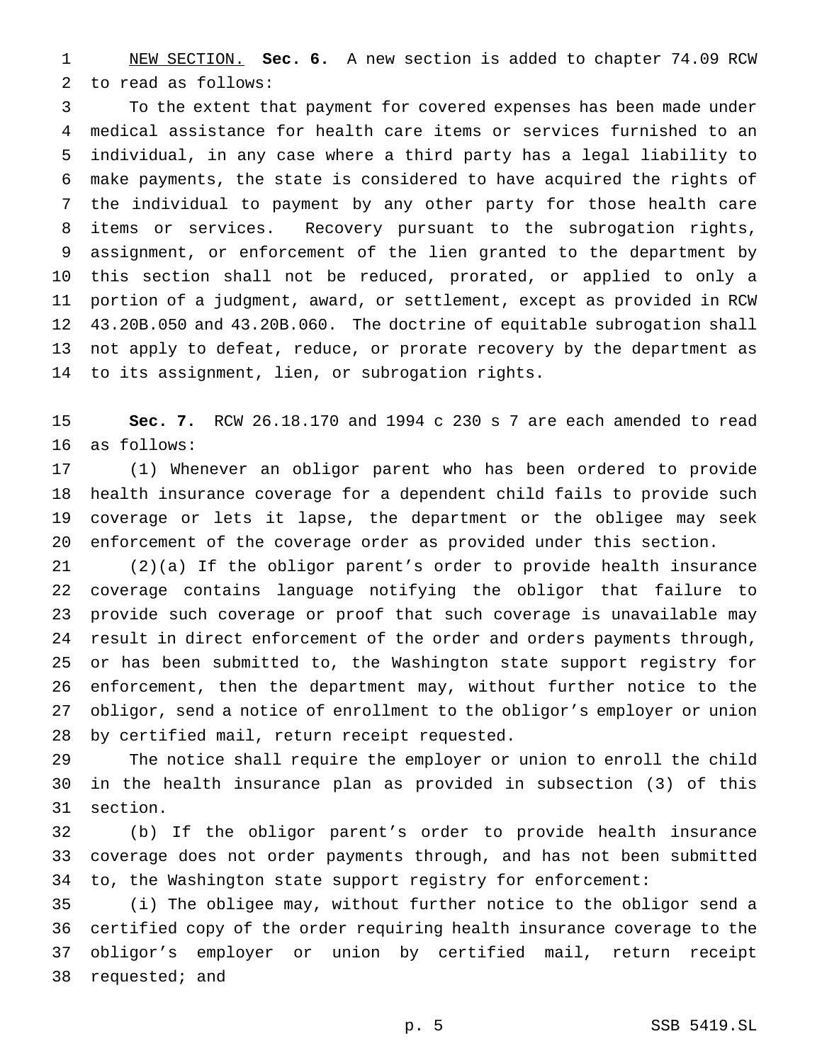NEW SECTION. **Sec. 6.** A new section is added to chapter 74.09 RCW to read as follows:

 To the extent that payment for covered expenses has been made under medical assistance for health care items or services furnished to an individual, in any case where a third party has a legal liability to make payments, the state is considered to have acquired the rights of the individual to payment by any other party for those health care items or services. Recovery pursuant to the subrogation rights, assignment, or enforcement of the lien granted to the department by this section shall not be reduced, prorated, or applied to only a portion of a judgment, award, or settlement, except as provided in RCW 43.20B.050 and 43.20B.060. The doctrine of equitable subrogation shall not apply to defeat, reduce, or prorate recovery by the department as to its assignment, lien, or subrogation rights.

 **Sec. 7.** RCW 26.18.170 and 1994 c 230 s 7 are each amended to read as follows:

 (1) Whenever an obligor parent who has been ordered to provide health insurance coverage for a dependent child fails to provide such coverage or lets it lapse, the department or the obligee may seek enforcement of the coverage order as provided under this section.

 (2)(a) If the obligor parent's order to provide health insurance coverage contains language notifying the obligor that failure to provide such coverage or proof that such coverage is unavailable may result in direct enforcement of the order and orders payments through, or has been submitted to, the Washington state support registry for enforcement, then the department may, without further notice to the obligor, send a notice of enrollment to the obligor's employer or union by certified mail, return receipt requested.

 The notice shall require the employer or union to enroll the child in the health insurance plan as provided in subsection (3) of this section.

 (b) If the obligor parent's order to provide health insurance coverage does not order payments through, and has not been submitted to, the Washington state support registry for enforcement:

 (i) The obligee may, without further notice to the obligor send a certified copy of the order requiring health insurance coverage to the obligor's employer or union by certified mail, return receipt requested; and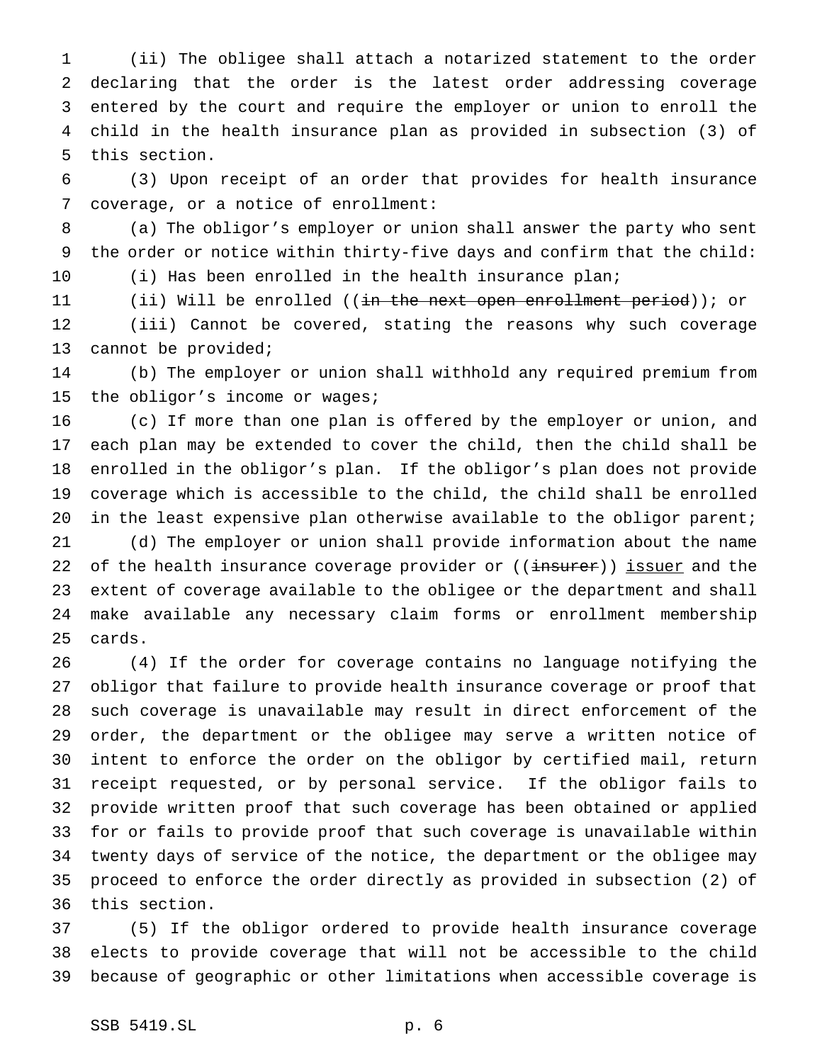(ii) The obligee shall attach a notarized statement to the order declaring that the order is the latest order addressing coverage entered by the court and require the employer or union to enroll the child in the health insurance plan as provided in subsection (3) of this section.

 (3) Upon receipt of an order that provides for health insurance coverage, or a notice of enrollment:

 (a) The obligor's employer or union shall answer the party who sent the order or notice within thirty-five days and confirm that the child: (i) Has been enrolled in the health insurance plan;

(ii) Will be enrolled ((in the next open enrollment period)); or

 (iii) Cannot be covered, stating the reasons why such coverage cannot be provided;

 (b) The employer or union shall withhold any required premium from the obligor's income or wages;

 (c) If more than one plan is offered by the employer or union, and each plan may be extended to cover the child, then the child shall be enrolled in the obligor's plan. If the obligor's plan does not provide coverage which is accessible to the child, the child shall be enrolled 20 in the least expensive plan otherwise available to the obligor parent;

 (d) The employer or union shall provide information about the name 22 of the health insurance coverage provider or ((insurer)) issuer and the extent of coverage available to the obligee or the department and shall make available any necessary claim forms or enrollment membership cards.

 (4) If the order for coverage contains no language notifying the obligor that failure to provide health insurance coverage or proof that such coverage is unavailable may result in direct enforcement of the order, the department or the obligee may serve a written notice of intent to enforce the order on the obligor by certified mail, return receipt requested, or by personal service. If the obligor fails to provide written proof that such coverage has been obtained or applied for or fails to provide proof that such coverage is unavailable within twenty days of service of the notice, the department or the obligee may proceed to enforce the order directly as provided in subsection (2) of this section.

 (5) If the obligor ordered to provide health insurance coverage elects to provide coverage that will not be accessible to the child because of geographic or other limitations when accessible coverage is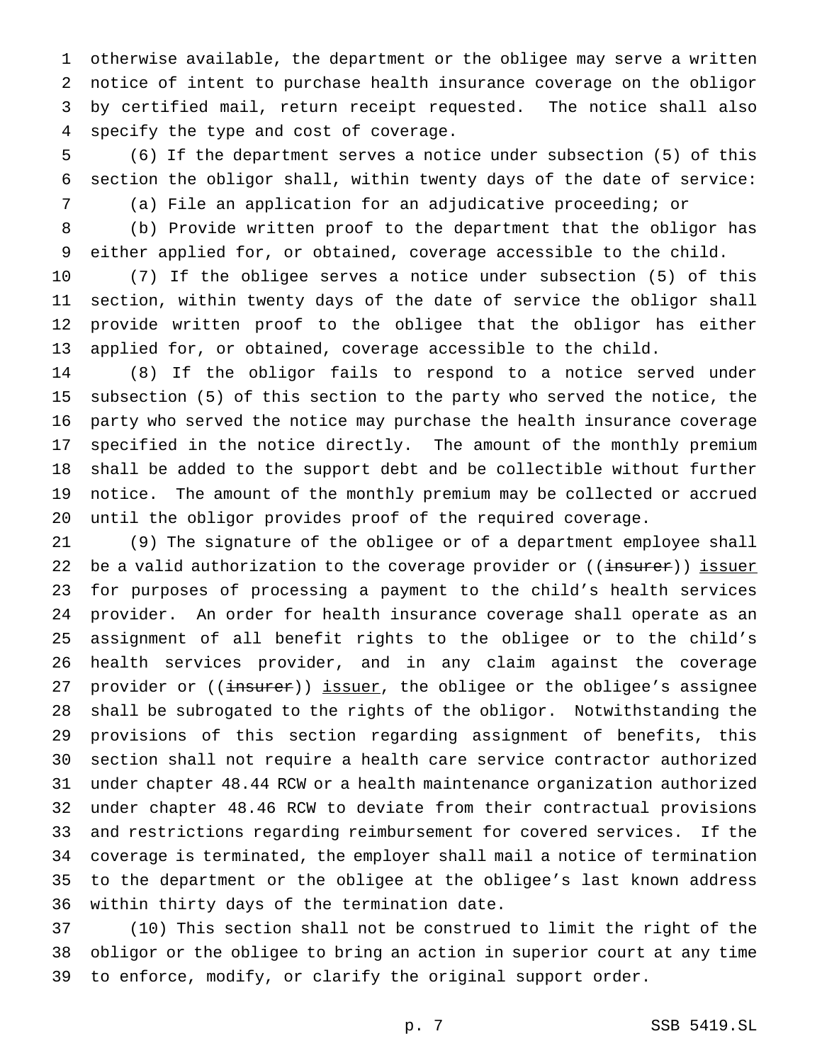otherwise available, the department or the obligee may serve a written notice of intent to purchase health insurance coverage on the obligor by certified mail, return receipt requested. The notice shall also specify the type and cost of coverage.

 (6) If the department serves a notice under subsection (5) of this section the obligor shall, within twenty days of the date of service:

(a) File an application for an adjudicative proceeding; or

 (b) Provide written proof to the department that the obligor has either applied for, or obtained, coverage accessible to the child.

 (7) If the obligee serves a notice under subsection (5) of this section, within twenty days of the date of service the obligor shall provide written proof to the obligee that the obligor has either applied for, or obtained, coverage accessible to the child.

 (8) If the obligor fails to respond to a notice served under subsection (5) of this section to the party who served the notice, the party who served the notice may purchase the health insurance coverage specified in the notice directly. The amount of the monthly premium shall be added to the support debt and be collectible without further notice. The amount of the monthly premium may be collected or accrued until the obligor provides proof of the required coverage.

 (9) The signature of the obligee or of a department employee shall 22 be a valid authorization to the coverage provider or ((insurer)) issuer for purposes of processing a payment to the child's health services provider. An order for health insurance coverage shall operate as an assignment of all benefit rights to the obligee or to the child's health services provider, and in any claim against the coverage 27 provider or ((insurer)) issuer, the obligee or the obligee's assignee shall be subrogated to the rights of the obligor. Notwithstanding the provisions of this section regarding assignment of benefits, this section shall not require a health care service contractor authorized under chapter 48.44 RCW or a health maintenance organization authorized under chapter 48.46 RCW to deviate from their contractual provisions and restrictions regarding reimbursement for covered services. If the coverage is terminated, the employer shall mail a notice of termination to the department or the obligee at the obligee's last known address within thirty days of the termination date.

 (10) This section shall not be construed to limit the right of the obligor or the obligee to bring an action in superior court at any time to enforce, modify, or clarify the original support order.